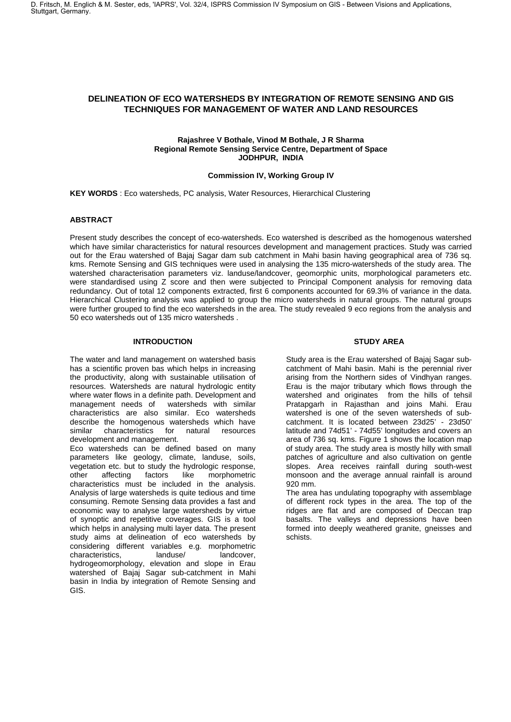## **DELINEATION OF ECO WATERSHEDS BY INTEGRATION OF REMOTE SENSING AND GIS TECHNIQUES FOR MANAGEMENT OF WATER AND LAND RESOURCES**

#### **Rajashree V Bothale, Vinod M Bothale, J R Sharma Regional Remote Sensing Service Centre, Department of Space JODHPUR, INDIA**

#### **Commission IV, Working Group IV**

**KEY WORDS** : Eco watersheds, PC analysis, Water Resources, Hierarchical Clustering

#### **ABSTRACT**

Present study describes the concept of eco-watersheds. Eco watershed is described as the homogenous watershed which have similar characteristics for natural resources development and management practices. Study was carried out for the Erau watershed of Bajaj Sagar dam sub catchment in Mahi basin having geographical area of 736 sq. kms. Remote Sensing and GIS techniques were used in analysing the 135 micro-watersheds of the study area. The watershed characterisation parameters viz. landuse/landcover, geomorphic units, morphological parameters etc. were standardised using Z score and then were subjected to Principal Component analysis for removing data redundancy. Out of total 12 components extracted, first 6 components accounted for 69.3% of variance in the data. Hierarchical Clustering analysis was applied to group the micro watersheds in natural groups. The natural groups were further grouped to find the eco watersheds in the area. The study revealed 9 eco regions from the analysis and 50 eco watersheds out of 135 micro watersheds .

## **INTRODUCTION**

The water and land management on watershed basis has a scientific proven bas which helps in increasing the productivity, along with sustainable utilisation of resources. Watersheds are natural hydrologic entity where water flows in a definite path. Development and management needs of watersheds with similar characteristics are also similar. Eco watersheds describe the homogenous watersheds which have<br>similar characteristics for natural resources characteristics for natural resources development and management.

Eco watersheds can be defined based on many parameters like geology, climate, landuse, soils, vegetation etc. but to study the hydrologic response, other affecting factors like morphometric characteristics must be included in the analysis. Analysis of large watersheds is quite tedious and time consuming. Remote Sensing data provides a fast and economic way to analyse large watersheds by virtue of synoptic and repetitive coverages. GIS is a tool which helps in analysing multi layer data. The present study aims at delineation of eco watersheds by considering different variables e.g. morphometric characteristics. hydrogeomorphology, elevation and slope in Erau watershed of Bajaj Sagar sub-catchment in Mahi basin in India by integration of Remote Sensing and GIS.

## **STUDY AREA**

Study area is the Erau watershed of Bajaj Sagar subcatchment of Mahi basin. Mahi is the perennial river arising from the Northern sides of Vindhyan ranges. Erau is the major tributary which flows through the watershed and originates from the hills of tehsil Pratapgarh in Rajasthan and joins Mahi. Erau watershed is one of the seven watersheds of subcatchment. It is located between 23d25' - 23d50' latitude and 74d51' - 74d55' longitudes and covers an area of 736 sq. kms. Figure 1 shows the location map of study area. The study area is mostly hilly with small patches of agriculture and also cultivation on gentle slopes. Area receives rainfall during south-west monsoon and the average annual rainfall is around 920 mm.

The area has undulating topography with assemblage of different rock types in the area. The top of the ridges are flat and are composed of Deccan trap basalts. The valleys and depressions have been formed into deeply weathered granite, gneisses and schists.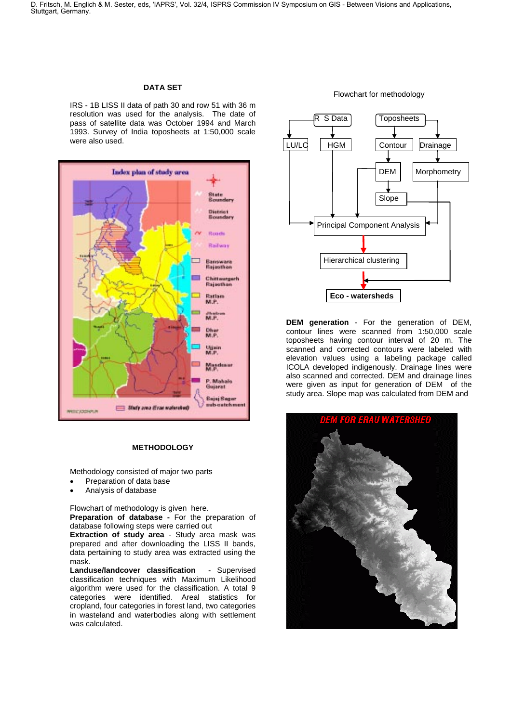# **DATA SET**

IRS - 1B LISS II data of path 30 and row 51 with 36 m resolution was used for the analysis. The date of pass of satellite data was October 1994 and March 1993. Survey of India toposheets at 1:50,000 scale were also used.



#### **METHODOLOGY**

Methodology consisted of major two parts

- Preparation of data base
- Analysis of database

Flowchart of methodology is given here.

**Preparation of database -** For the preparation of database following steps were carried out

**Extraction of study area** - Study area mask was prepared and after downloading the LISS II bands, data pertaining to study area was extracted using the mask.

**Landuse/landcover classification** - Supervised classification techniques with Maximum Likelihood algorithm were used for the classification. A total 9 categories were identified. Areal statistics for cropland, four categories in forest land, two categories in wasteland and waterbodies along with settlement was calculated.

Flowchart for methodology



**DEM generation** - For the generation of DEM, contour lines were scanned from 1:50,000 scale toposheets having contour interval of 20 m. The scanned and corrected contours were labeled with elevation values using a labeling package called ICOLA developed indigenously. Drainage lines were also scanned and corrected. DEM and drainage lines were given as input for generation of DEM of the study area. Slope map was calculated from DEM and

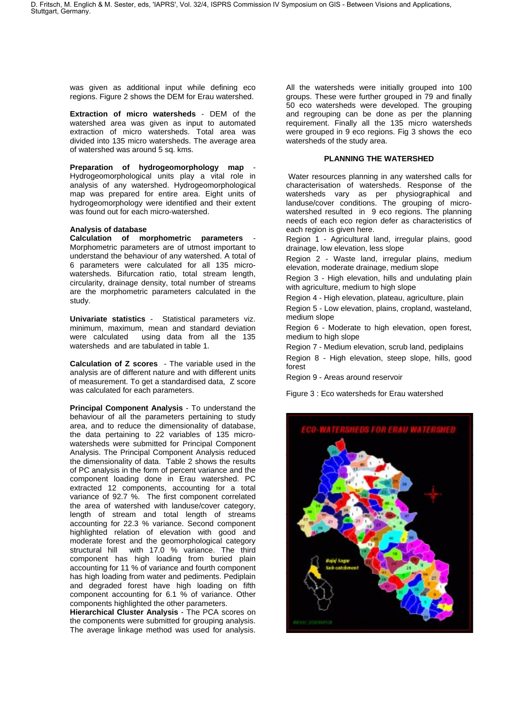was given as additional input while defining eco regions. Figure 2 shows the DEM for Erau watershed.

**Extraction of micro watersheds** - DEM of the watershed area was given as input to automated extraction of micro watersheds. Total area was divided into 135 micro watersheds. The average area of watershed was around 5 sq. kms.

Preparation of hydrogeomorphology map Hydrogeomorphological units play a vital role in analysis of any watershed. Hydrogeomorphological map was prepared for entire area. Eight units of hydrogeomorphology were identified and their extent was found out for each micro-watershed.

#### **Analysis of database**

**Calculation of morphometric parameters** - Morphometric parameters are of utmost important to understand the behaviour of any watershed. A total of 6 parameters were calculated for all 135 microwatersheds. Bifurcation ratio, total stream length, circularity, drainage density, total number of streams are the morphometric parameters calculated in the study.

**Univariate statistics** - Statistical parameters viz. minimum, maximum, mean and standard deviation were calculated using data from all the 135 watersheds and are tabulated in table 1.

**Calculation of Z scores** - The variable used in the analysis are of different nature and with different units of measurement. To get a standardised data, Z score was calculated for each parameters.

**Principal Component Analysis** - To understand the behaviour of all the parameters pertaining to study area, and to reduce the dimensionality of database, the data pertaining to 22 variables of 135 microwatersheds were submitted for Principal Component Analysis. The Principal Component Analysis reduced the dimensionality of data. Table 2 shows the results of PC analysis in the form of percent variance and the component loading done in Erau watershed. PC extracted 12 components, accounting for a total variance of 92.7 %. The first component correlated the area of watershed with landuse/cover category, length of stream and total length of streams accounting for 22.3 % variance. Second component highlighted relation of elevation with good and moderate forest and the geomorphological category structural hill with 17.0 % variance. The third component has high loading from buried plain accounting for 11 % of variance and fourth component has high loading from water and pediments. Pediplain and degraded forest have high loading on fifth component accounting for 6.1 % of variance. Other components highlighted the other parameters.

**Hierarchical Cluster Analysis** - The PCA scores on the components were submitted for grouping analysis. The average linkage method was used for analysis.

All the watersheds were initially grouped into 100 groups. These were further grouped in 79 and finally 50 eco watersheds were developed. The grouping and regrouping can be done as per the planning requirement. Finally all the 135 micro watersheds were grouped in 9 eco regions. Fig 3 shows the eco watersheds of the study area.

#### **PLANNING THE WATERSHED**

 Water resources planning in any watershed calls for characterisation of watersheds. Response of the watersheds vary as per physiographical and landuse/cover conditions. The grouping of microwatershed resulted in 9 eco regions. The planning needs of each eco region defer as characteristics of each region is given here.

Region 1 - Agricultural land, irregular plains, good drainage, low elevation, less slope

Region 2 - Waste land, irregular plains, medium elevation, moderate drainage, medium slope

Region 3 - High elevation, hills and undulating plain with agriculture, medium to high slope

Region 4 - High elevation, plateau, agriculture, plain

Region 5 - Low elevation, plains, cropland, wasteland, medium slope

Region 6 - Moderate to high elevation, open forest, medium to high slope

Region 7 - Medium elevation, scrub land, pediplains

Region 8 - High elevation, steep slope, hills, good forest

Region 9 - Areas around reservoir

Figure 3 : Eco watersheds for Erau watershed

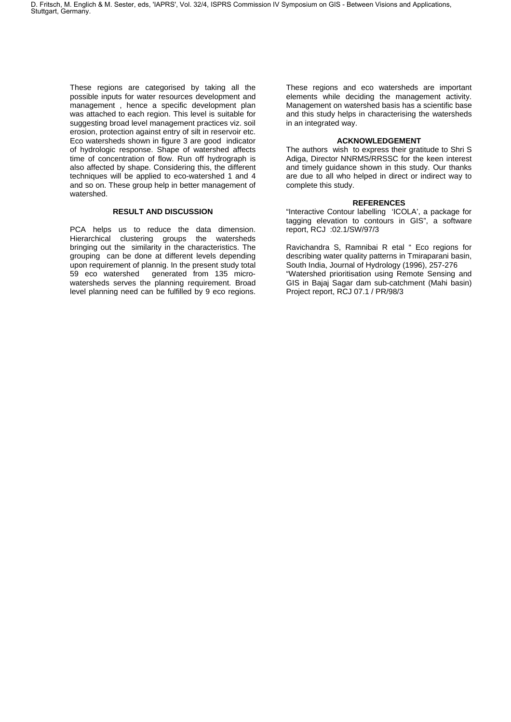These regions are categorised by taking all the possible inputs for water resources development and management , hence a specific development plan was attached to each region. This level is suitable for suggesting broad level management practices viz. soil erosion, protection against entry of silt in reservoir etc. Eco watersheds shown in figure 3 are good indicator of hydrologic response. Shape of watershed affects time of concentration of flow. Run off hydrograph is also affected by shape. Considering this, the different techniques will be applied to eco-watershed 1 and 4 and so on. These group help in better management of watershed.

#### **RESULT AND DISCUSSION**

PCA helps us to reduce the data dimension. Hierarchical clustering groups the watersheds bringing out the similarity in the characteristics. The grouping can be done at different levels depending upon requirement of plannig. In the present study total 59 eco watershed generated from 135 microwatersheds serves the planning requirement. Broad level planning need can be fulfilled by 9 eco regions.

These regions and eco watersheds are important elements while deciding the management activity. Management on watershed basis has a scientific base and this study helps in characterising the watersheds in an integrated way.

#### **ACKNOWLEDGEMENT**

The authors wish to express their gratitude to Shri S Adiga, Director NNRMS/RRSSC for the keen interest and timely guidance shown in this study. Our thanks are due to all who helped in direct or indirect way to complete this study.

#### **REFERENCES**

"Interactive Contour labelling 'ICOLA', a package for tagging elevation to contours in GIS", a software report, RCJ :02.1/SW/97/3

Ravichandra S, Ramnibai R etal " Eco regions for describing water quality patterns in Tmiraparani basin, South India, Journal of Hydrology (1996), 257-276 "Watershed prioritisation using Remote Sensing and GIS in Bajaj Sagar dam sub-catchment (Mahi basin) Project report, RCJ 07.1 / PR/98/3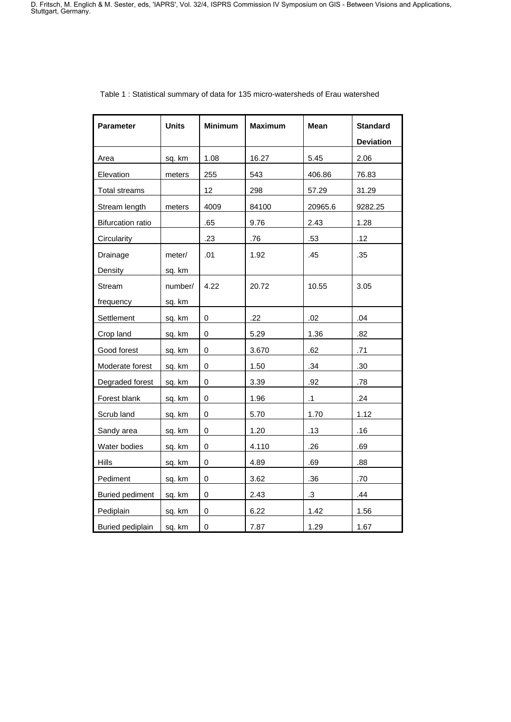| Parameter                | <b>Units</b> | <b>Minimum</b> | <b>Maximum</b> | Mean      | <b>Standard</b>  |
|--------------------------|--------------|----------------|----------------|-----------|------------------|
|                          |              |                |                |           | <b>Deviation</b> |
| Area                     | sq. km       | 1.08           | 16.27          | 5.45      | 2.06             |
| Elevation                | meters       | 255            | 543            | 406.86    | 76.83            |
| <b>Total streams</b>     |              | 12             | 298            | 57.29     | 31.29            |
| Stream length            | meters       | 4009           | 84100          | 20965.6   | 9282.25          |
| <b>Bifurcation ratio</b> |              | .65            | 9.76           | 2.43      | 1.28             |
| Circularity              |              | .23            | .76            | .53       | .12              |
| Drainage                 | meter/       | .01            | 1.92           | .45       | .35              |
| Density                  | sq. km       |                |                |           |                  |
| Stream                   | number/      | 4.22           | 20.72          | 10.55     | 3.05             |
| frequency                | sq. km       |                |                |           |                  |
| Settlement               | sq. km       | 0              | .22            | .02       | .04              |
| Crop land                | sq. km       | 0              | 5.29           | 1.36      | .82              |
| Good forest              | sq. km       | 0              | 3.670          | .62       | .71              |
| Moderate forest          | sq. km       | 0              | 1.50           | .34       | .30              |
| Degraded forest          | sq. km       | 0              | 3.39           | .92       | .78              |
| Forest blank             | sq. km       | 0              | 1.96           | $\cdot$ 1 | .24              |
| Scrub land               | sq. km       | 0              | 5.70           | 1.70      | 1.12             |
| Sandy area               | sq. km       | 0              | 1.20           | .13       | .16              |
| Water bodies             | sq. km       | 0              | 4.110          | .26       | .69              |
| <b>Hills</b>             | sq. km       | 0              | 4.89           | .69       | .88              |
| Pediment                 | sq. km       | 0              | 3.62           | .36       | .70              |
| <b>Buried pediment</b>   | sq. km       | 0              | 2.43           | $\cdot$ 3 | .44              |
| Pediplain                | sq. km       | 0              | 6.22           | 1.42      | 1.56             |
| Buried pediplain         | sq. km       | 0              | 7.87           | 1.29      | 1.67             |

# Table 1 : Statistical summary of data for 135 micro-watersheds of Erau watershed